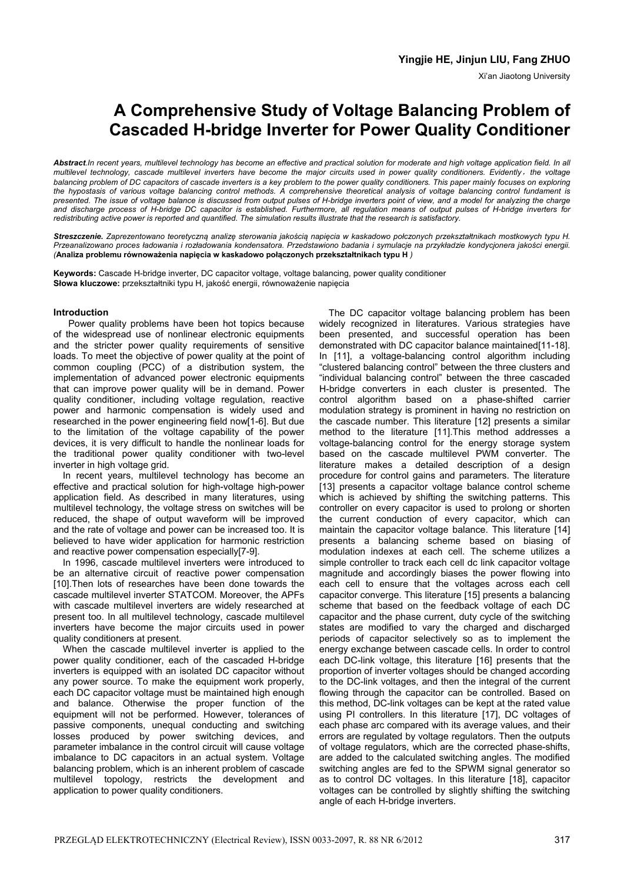# **A Comprehensive Study of Voltage Balancing Problem of Cascaded H-bridge Inverter for Power Quality Conditioner**

Abstract.In recent years, multilevel technology has become an effective and practical solution for moderate and high voltage application field. In all *multilevel technology, cascade multilevel inverters have become the major circuits used in power quality conditioners. Evidently*,*the voltage*  balancing problem of DC capacitors of cascade inverters is a key problem to the power quality conditioners. This paper mainly focuses on exploring *the hypostasis of various voltage balancing control methods. A comprehensive theoretical analysis of voltage balancing control fundament is presented. The issue of voltage balance is discussed from output pulses of H-bridge inverters point of view, and a model for analyzing the charge and discharge process of H-bridge DC capacitor is established. Furthermore, all regulation means of output pulses of H-bridge inverters for redistributing active power is reported and quantified. The simulation results illustrate that the research is satisfactory.* 

Streszczenie. Zaprezentowano teoretyczną analizę sterowania jakością napięcia w kaskadowo połczonych przekształtnikach mostkowych typu H. *Przeanalizowano proces ładowania i rozładowania kondensatora. Przedstawiono badania i symulacje na przykładzie kondycjonera jakości energii. (***Analiza problemu równoważenia napięcia w kaskadowo połączonych przekształtnikach typu H** *)* 

**Keywords:** Cascade H-bridge inverter, DC capacitor voltage, voltage balancing, power quality conditioner **Słowa kluczowe:** przekształtniki typu H, jakość energii, równoważenie napięcia

# **Introduction**

Power quality problems have been hot topics because of the widespread use of nonlinear electronic equipments and the stricter power quality requirements of sensitive loads. To meet the objective of power quality at the point of common coupling (PCC) of a distribution system, the implementation of advanced power electronic equipments that can improve power quality will be in demand. Power quality conditioner, including voltage regulation, reactive power and harmonic compensation is widely used and researched in the power engineering field now[1-6]. But due to the limitation of the voltage capability of the power devices, it is very difficult to handle the nonlinear loads for the traditional power quality conditioner with two-level inverter in high voltage grid.

In recent years, multilevel technology has become an effective and practical solution for high-voltage high-power application field. As described in many literatures, using multilevel technology, the voltage stress on switches will be reduced, the shape of output waveform will be improved and the rate of voltage and power can be increased too. It is believed to have wider application for harmonic restriction and reactive power compensation especially[7-9].

In 1996, cascade multilevel inverters were introduced to be an alternative circuit of reactive power compensation [10]. Then lots of researches have been done towards the cascade multilevel inverter STATCOM. Moreover, the APFs with cascade multilevel inverters are widely researched at present too. In all multilevel technology, cascade multilevel inverters have become the major circuits used in power quality conditioners at present.

When the cascade multilevel inverter is applied to the power quality conditioner, each of the cascaded H-bridge inverters is equipped with an isolated DC capacitor without any power source. To make the equipment work properly, each DC capacitor voltage must be maintained high enough and balance. Otherwise the proper function of the equipment will not be performed. However, tolerances of passive components, unequal conducting and switching losses produced by power switching devices, and parameter imbalance in the control circuit will cause voltage imbalance to DC capacitors in an actual system. Voltage balancing problem, which is an inherent problem of cascade multilevel topology, restricts the development and application to power quality conditioners.

The DC capacitor voltage balancing problem has been widely recognized in literatures. Various strategies have been presented, and successful operation has been demonstrated with DC capacitor balance maintained[11-18]. In [11], a voltage-balancing control algorithm including "clustered balancing control" between the three clusters and "individual balancing control" between the three cascaded H-bridge converters in each cluster is presented. The control algorithm based on a phase-shifted carrier modulation strategy is prominent in having no restriction on the cascade number. This literature [12] presents a similar method to the literature [11].This method addresses a voltage-balancing control for the energy storage system based on the cascade multilevel PWM converter. The literature makes a detailed description of a design procedure for control gains and parameters. The literature [13] presents a capacitor voltage balance control scheme which is achieved by shifting the switching patterns. This controller on every capacitor is used to prolong or shorten the current conduction of every capacitor, which can maintain the capacitor voltage balance. This literature [14] presents a balancing scheme based on biasing of modulation indexes at each cell. The scheme utilizes a simple controller to track each cell dc link capacitor voltage magnitude and accordingly biases the power flowing into each cell to ensure that the voltages across each cell capacitor converge. This literature [15] presents a balancing scheme that based on the feedback voltage of each DC capacitor and the phase current, duty cycle of the switching states are modified to vary the charged and discharged periods of capacitor selectively so as to implement the energy exchange between cascade cells. In order to control each DC-link voltage, this literature [16] presents that the proportion of inverter voltages should be changed according to the DC-link voltages, and then the integral of the current flowing through the capacitor can be controlled. Based on this method, DC-link voltages can be kept at the rated value using PI controllers. In this literature [17], DC voltages of each phase arc compared with its average values, and their errors are regulated by voltage regulators. Then the outputs of voltage regulators, which are the corrected phase-shifts, are added to the calculated switching angles. The modified switching angles are fed to the SPWM signal generator so as to control DC voltages. In this literature [18], capacitor voltages can be controlled by slightly shifting the switching angle of each H-bridge inverters.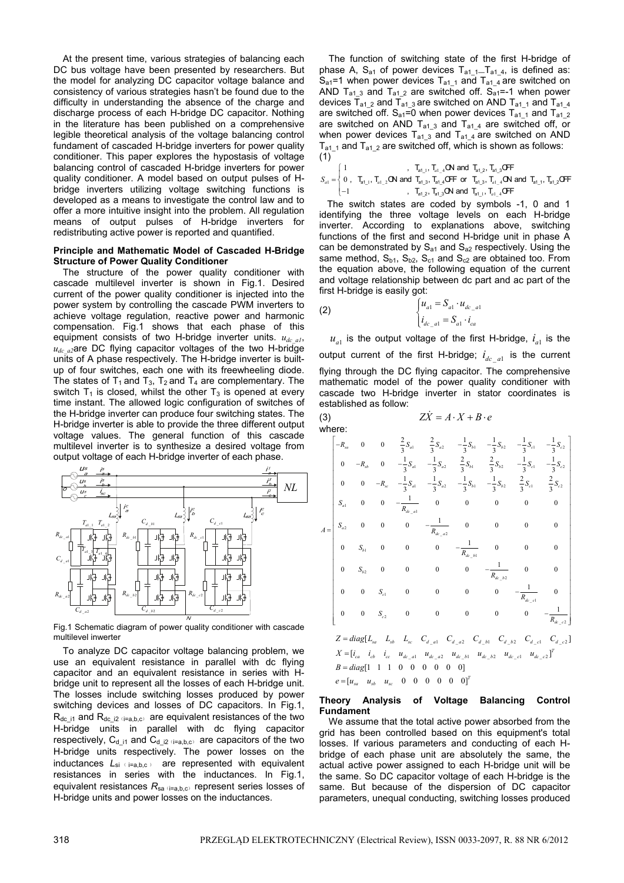At the present time, various strategies of balancing each DC bus voltage have been presented by researchers. But the model for analyzing DC capacitor voltage balance and consistency of various strategies hasn't be found due to the difficulty in understanding the absence of the charge and discharge process of each H-bridge DC capacitor. Nothing in the literature has been published on a comprehensive legible theoretical analysis of the voltage balancing control fundament of cascaded H-bridge inverters for power quality conditioner. This paper explores the hypostasis of voltage balancing control of cascaded H-bridge inverters for power quality conditioner. A model based on output pulses of Hbridge inverters utilizing voltage switching functions is developed as a means to investigate the control law and to offer a more intuitive insight into the problem. All regulation means of output pulses of H-bridge inverters for redistributing active power is reported and quantified.

## **Principle and Mathematic Model of Cascaded H-Bridge Structure of Power Quality Conditioner**

The structure of the power quality conditioner with cascade multilevel inverter is shown in Fig.1. Desired current of the power quality conditioner is injected into the power system by controlling the cascade PWM inverters to achieve voltage regulation, reactive power and harmonic compensation. Fig.1 shows that each phase of this equipment consists of two H-bridge inverter units.  $u_{dc}$  al,  $u_{dc}$ <sub>a2</sub>are DC flying capacitor voltages of the two H-bridge units of A phase respectively. The H-bridge inverter is builtup of four switches, each one with its freewheeling diode. The states of  $T_1$  and  $T_3$ ,  $T_2$  and  $T_4$  are complementary. The switch  $T_1$  is closed, whilst the other  $T_3$  is opened at every time instant. The allowed logic configuration of switches of the H-bridge inverter can produce four switching states. The H-bridge inverter is able to provide the three different output voltage values. The general function of this cascade multilevel inverter is to synthesize a desired voltage from output voltage of each H-bridge inverter of each phase.



Fig.1 Schematic diagram of power quality conditioner with cascade multilevel inwerter

To analyze DC capacitor voltage balancing problem, we use an equivalent resistance in parallel with dc flying capacitor and an equivalent resistance in series with Hbridge unit to represent all the losses of each H-bridge unit. The losses include switching losses produced by power switching devices and losses of DC capacitors. In Fig.1,  $R_{dc}$  in and  $R_{dc}$  iz  $(i=a,b,c)$  are equivalent resistances of the two H-bridge units in parallel with dc flying capacitor respectively,  $C_{d-11}$  and  $C_{d-12}$  (i=a,b,c) are capacitors of the two H-bridge units respectively. The power losses on the inductances  $L_{si \text{ (i=a,b,c)}}$  are represented with equivalent resistances in series with the inductances. In Fig.1, equivalent resistances  $R_{sa(i=a,b,c)}$  represent series losses of H-bridge units and power losses on the inductances.

The function of switching state of the first H-bridge of phase A,  $S_{a1}$  of power devices  $T_{a1-1}-T_{a1-4}$ , is defined as:  $S_{a1}=1$  when power devices  $T_{a1}$  and  $T_{a1}$  are switched on AND  $T_{a1_3}$  and  $T_{a1_2}$  are switched off. S<sub>a1</sub>=-1 when power devices  $\overline{T}_{a1_2}$  and  $\overline{T}_{a1_3}$  are switched on AND  $T_{a1_1}$  and  $T_{a1_4}$ are switched off.  $S_{a1}=0$  when power devices  $T_{a1}T_{1}$  and  $T_{a1}T_{2}$ are switched on AND T<sub>a1</sub> 3 and T<sub>a1</sub> 4 are switched off, or when power devices  $T_{a1}$  3 and  $T_{a1}$  4 are switched on AND  $T_{a1-1}$  and  $T_{a1-2}$  are switched off, which is shown as follows: (1)

$$
S_{a1} = \begin{cases} 1 & , \quad T_{a1\_1}, T_{a1\_4} \textbf{O} \textbf{O} \textbf{O} \textbf{O} \textbf{O} \textbf{O} \textbf{O} \textbf{O} \textbf{O} \textbf{O} \textbf{O} \textbf{O} \textbf{O} \textbf{O} \textbf{O} \textbf{O} \textbf{O} \textbf{O} \textbf{O} \textbf{O} \textbf{O} \textbf{O} \textbf{O} \textbf{O} \textbf{O} \textbf{O} \textbf{O} \textbf{O} \textbf{O} \textbf{O} \textbf{O} \textbf{O} \textbf{O} \textbf{O} \textbf{O} \textbf{O} \textbf{O} \textbf{O} \textbf{O} \textbf{O} \textbf{O} \textbf{O} \textbf{O} \textbf{O} \textbf{O} \textbf{O} \textbf{O} \textbf{O} \textbf{O} \textbf{O} \textbf{O} \textbf{O} \textbf{O} \textbf{O} \textbf{O} \textbf{O} \textbf{O} \textbf{O} \textbf{O} \textbf{O} \textbf{O} \textbf{O} \textbf{O} \textbf{O} \textbf{O} \textbf{O} \textbf{O} \textbf{O} \textbf{O} \textbf{O} \textbf{O} \textbf{O} \textbf{O} \textbf{O} \textbf{O} \textbf{O} \textbf{O} \textbf{O} \textbf{O} \textbf{O} \textbf{O} \textbf{O} \textbf{O} \textbf{O} \textbf{O} \textbf{O} \textbf{O} \textbf{O} \textbf{O} \textbf{O} \textbf{O} \textbf{O} \textbf{O} \textbf{O} \textbf{O} \textbf{O} \textbf{O} \textbf{O} \textbf{O} \textbf{O} \textbf{O} \textbf{O} \textbf{O} \textbf{O} \textbf{O} \textbf{O} \textbf{O} \textbf{O} \textbf{O} \textbf{O} \textbf{O} \textbf{O} \textbf{O} \textbf{O} \textbf{O} \textbf{O} \textbf{O} \textbf{O} \textbf{O} \textbf{O} \textbf{O} \text
$$

 The switch states are coded by symbols -1, 0 and 1 identifying the three voltage levels on each H-bridge inverter. According to explanations above, switching functions of the first and second H-bridge unit in phase A can be demonstrated by  $S_{a1}$  and  $S_{a2}$  respectively. Using the same method,  $S_{b1}$ ,  $S_{b2}$ ,  $S_{c1}$  and  $S_{c2}$  are obtained too. From the equation above, the following equation of the current and voltage relationship between dc part and ac part of the first H-bridge is easily got:

(2) 
$$
\begin{cases} u_{a1} = S_{a1} \cdot u_{dc\_a1} \\ i_{dc\_a1} = S_{a1} \cdot i_{ca} \end{cases}
$$

 $u_{a1}$  is the output voltage of the first H-bridge,  $i_{a1}$  is the output current of the first H-bridge;  $i_{dc}$   $_{d1}$  is the current flying through the DC flying capacitor. The comprehensive mathematic model of the power quality conditioner with cascade two H-bridge inverter in stator coordinates is established as follow:

(3) 
$$
Z\dot{X} = A \cdot X + B \cdot e
$$
  
where:

$$
A = \begin{bmatrix}\n-R_{sa} & 0 & 0 & \frac{2}{3}S_{a1} & \frac{2}{3}S_{a2} & -\frac{1}{3}S_{b1} & -\frac{1}{3}S_{b2} & -\frac{1}{3}S_{c1} & -\frac{1}{3}S_{c2} \\
0 & -R_{sb} & 0 & -\frac{1}{3}S_{a1} & -\frac{1}{3}S_{a2} & \frac{2}{3}S_{b1} & \frac{2}{3}S_{b2} & -\frac{1}{3}S_{c1} & -\frac{1}{3}S_{c2} \\
0 & 0 & -R_{sc} & -\frac{1}{3}S_{a1} & -\frac{1}{3}S_{a2} & -\frac{1}{3}S_{b1} & -\frac{1}{3}S_{b2} & \frac{2}{3}S_{c1} & \frac{2}{3}S_{c2} \\
S_{a1} & 0 & 0 & -\frac{1}{R_{de_{a}}}} & 0 & 0 & 0 & 0 & 0 \\
S_{a2} & 0 & 0 & 0 & -\frac{1}{R_{de_{a}}}} & 0 & 0 & 0 & 0 \\
0 & S_{b1} & 0 & 0 & 0 & -\frac{1}{R_{de_{b}}}} & 0 & 0 & 0 \\
0 & S_{b2} & 0 & 0 & 0 & 0 & -\frac{1}{R_{de_{b}}}} & 0 & 0 & 0 \\
0 & 0 & S_{c1} & 0 & 0 & 0 & 0 & -\frac{1}{R_{de_{c}}}} & 0 & 0 \\
0 & 0 & S_{c2} & 0 & 0 & 0 & 0 & 0 & -\frac{1}{R_{de_{c}}}} & 0 \\
0 & 0 & S_{c2} & 0 & 0 & 0 & 0 & 0 & -\frac{1}{R_{de_{c}}c_{c}} \\
0 & 0 & S_{c2} & 0 & 0 & 0 & 0 & 0 & -\frac{1}{R_{de_{c}}c_{c}} \\
0 & 0 & S_{c2} & 0 & 0 & 0 & 0 & 0 & -\frac{1}{R_{de_{c}}c_{c}}\n\end{bmatrix}
$$

$$
X = \begin{bmatrix} i_{ca} & i_{ab} & i_{ac} & i_{ac} & i_{a-2} & i_{a-2} & i_{a-2} & i_{a-2} & i_{a-2} & i_{a-2} \end{bmatrix}^{T}
$$
  
\n
$$
X = \begin{bmatrix} i_{ca} & i_{cb} & i_{cc} & u_{dc_{-a1}} & u_{dc_{-a2}} & u_{dc_{-b1}} & u_{dc_{-b2}} & u_{dc_{-c1}} & u_{dc_{-c2}} \end{bmatrix}^{T}
$$
  
\n
$$
B = diag \begin{bmatrix} 1 & 1 & 0 & 0 & 0 & 0 & 0 & 0 \end{bmatrix}
$$
  
\n
$$
e = \begin{bmatrix} u_{sa} & u_{sb} & u_{sc} & 0 & 0 & 0 & 0 & 0 & 0 & 0 \end{bmatrix}^{T}
$$

### **Theory Analysis of Voltage Balancing Control Fundament**

We assume that the total active power absorbed from the grid has been controlled based on this equipment's total losses. If various parameters and conducting of each Hbridge of each phase unit are absolutely the same, the actual active power assigned to each H-bridge unit will be the same. So DC capacitor voltage of each H-bridge is the same. But because of the dispersion of DC capacitor parameters, unequal conducting, switching losses produced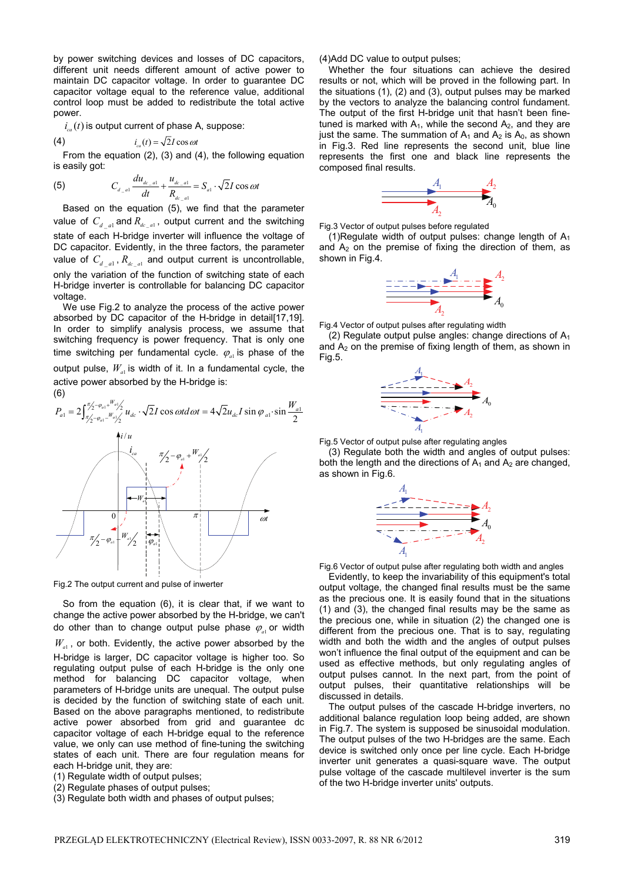by power switching devices and losses of DC capacitors, different unit needs different amount of active power to maintain DC capacitor voltage. In order to guarantee DC capacitor voltage equal to the reference value, additional control loop must be added to redistribute the total active power.

 $i_{\alpha} (t)$  is output current of phase A, suppose:

$$
(4) \t\t\t i_{ca}(t) = \sqrt{2}I\cos\omega t
$$

From the equation (2), (3) and (4), the following equation is easily got:

(5) 
$$
C_{d_{-}a1} \frac{du_{dc_{-}a1}}{dt} + \frac{u_{dc_{-}a1}}{R_{dc_{-}a1}} = S_{a1} \cdot \sqrt{2}I \cos \omega t
$$

Based on the equation (5), we find that the parameter value of  $C_{d_{a}a}$  and  $R_{dc_{a}a}$ , output current and the switching state of each H-bridge inverter will influence the voltage of DC capacitor. Evidently, in the three factors, the parameter value of  $C_{d_{ad}}$ ,  $R_{de_{ad}}$  and output current is uncontrollable, only the variation of the function of switching state of each H-bridge inverter is controllable for balancing DC capacitor voltage.

We use Fig.2 to analyze the process of the active power absorbed by DC capacitor of the H-bridge in detail[17,19]. In order to simplify analysis process, we assume that switching frequency is power frequency. That is only one time switching per fundamental cycle.  $\varphi_{n}$  is phase of the output pulse,  $W_{a1}$  is width of it. In a fundamental cycle, the active power absorbed by the H-bridge is: (6)



Fig.2 The output current and pulse of inwerter

So from the equation (6), it is clear that, if we want to change the active power absorbed by the H-bridge, we can't do other than to change output pulse phase  $\varphi_{a}$  or width

 $W_{ab}$ , or both. Evidently, the active power absorbed by the H-bridge is larger, DC capacitor voltage is higher too. So regulating output pulse of each H-bridge is the only one method for balancing DC capacitor voltage, when parameters of H-bridge units are unequal. The output pulse is decided by the function of switching state of each unit. Based on the above paragraphs mentioned, to redistribute active power absorbed from grid and guarantee dc capacitor voltage of each H-bridge equal to the reference value, we only can use method of fine-tuning the switching states of each unit. There are four regulation means for each H-bridge unit, they are:

- (1) Regulate width of output pulses;
- (2) Regulate phases of output pulses;
- (3) Regulate both width and phases of output pulses;

(4)Add DC value to output pulses;

Whether the four situations can achieve the desired results or not, which will be proved in the following part. In the situations (1), (2) and (3), output pulses may be marked by the vectors to analyze the balancing control fundament. The output of the first H-bridge unit that hasn't been finetuned is marked with  $A_1$ , while the second  $A_2$ , and they are just the same. The summation of  $A_1$  and  $A_2$  is  $A_0$ , as shown in Fig.3. Red line represents the second unit, blue line represents the first one and black line represents the composed final results.



Fig.3 Vector of output pulses before regulated

(1)Regulate width of output pulses: change length of  $A_1$ and  $A_2$  on the premise of fixing the direction of them, as shown in Fig.4.



Fig.4 Vector of output pulses after regulating width

(2) Regulate output pulse angles: change directions of  $A_1$ and  $A_2$  on the premise of fixing length of them, as shown in Fig.5.



Fig.5 Vector of output pulse after regulating angles

(3) Regulate both the width and angles of output pulses: both the length and the directions of  $A_1$  and  $A_2$  are changed, as shown in Fig.6.



Fig.6 Vector of output pulse after regulating both width and angles

Evidently, to keep the invariability of this equipment's total output voltage, the changed final results must be the same as the precious one. It is easily found that in the situations (1) and (3), the changed final results may be the same as the precious one, while in situation (2) the changed one is different from the precious one. That is to say, regulating width and both the width and the angles of output pulses won't influence the final output of the equipment and can be used as effective methods, but only regulating angles of output pulses cannot. In the next part, from the point of output pulses, their quantitative relationships will be discussed in details.

The output pulses of the cascade H-bridge inverters, no additional balance regulation loop being added, are shown in Fig.7. The system is supposed be sinusoidal modulation. The output pulses of the two H-bridges are the same. Each device is switched only once per line cycle. Each H-bridge inverter unit generates a quasi-square wave. The output pulse voltage of the cascade multilevel inverter is the sum of the two H-bridge inverter units' outputs.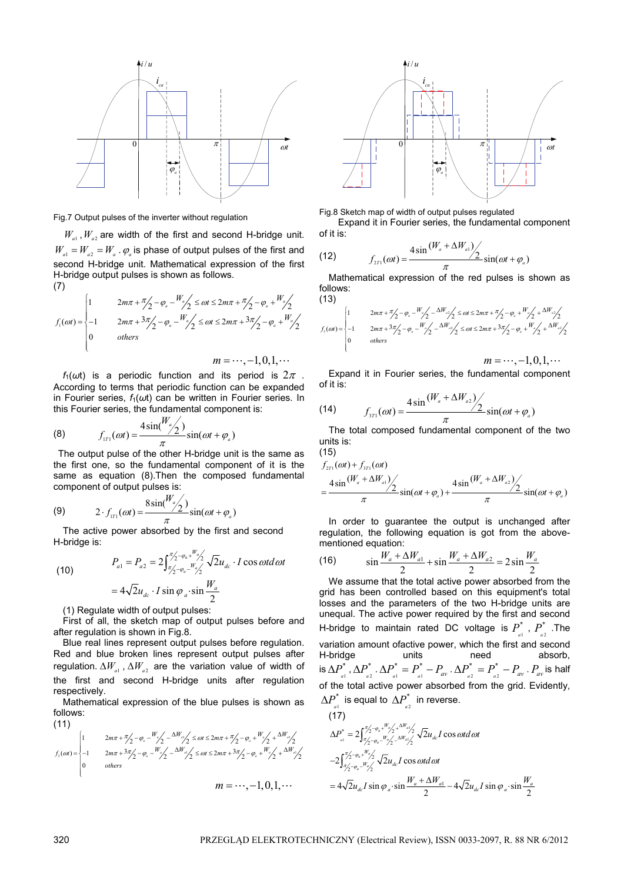

Fig.7 Output pulses of the inverter without regulation

 $W_{a1}$ ,  $W_{a2}$  are width of the first and second H-bridge unit.  $W_{a1} = W_{a2} = W_a$ .  $\varphi_a$  is phase of output pulses of the first and second H-bridge unit. Mathematical expression of the first H-bridge output pulses is shown as follows.  $(7)$ 

$$
f_1(\omega t) = \begin{cases} 1 & 2m\pi + \frac{\pi}{2} - \varphi_a - \frac{W_a}{2} \le \omega t \le 2m\pi + \frac{\pi}{2} - \varphi_a + \frac{W_a}{2} \\ -1 & 2m\pi + \frac{3\pi}{2} - \varphi_a - \frac{W_a}{2} \le \omega t \le 2m\pi + \frac{3\pi}{2} - \varphi_a + \frac{W_a}{2} \\ 0 & \text{others} \end{cases}
$$

 $m = \dots, -1, 0, 1, \dots$ 

 $f_1(\omega t)$  is a periodic function and its period is  $2\pi$ According to terms that periodic function can be expanded in Fourier series, *f*<sub>1</sub>(*ω*t) can be written in Fourier series. In this Fourier series, the fundamental component is:

(8) 
$$
f_{1T1}(\omega t) = \frac{4\sin\left(\frac{W_a}{2}\right)}{\pi} \sin(\omega t + \varphi_a)
$$

The output pulse of the other H-bridge unit is the same as the first one, so the fundamental component of it is the same as equation (8).Then the composed fundamental component of output pulses is:

(9) 
$$
2 \cdot f_{1T1}(\omega t) = \frac{8 \sin(\frac{W_a}{2})}{\pi} \sin(\omega t + \varphi_a)
$$

The active power absorbed by the first and second H-bridge is:

(10) 
$$
P_{a1} = P_{a2} = 2 \int_{\pi/2 - \varphi_a - W_{a/2}}^{\pi/2 - \varphi_a + W_{a/2}} \sqrt{2} u_{dc} \cdot I \cos \omega t d \omega t
$$

$$
= 4 \sqrt{2} u_{dc} \cdot I \sin \varphi_a \cdot \sin \frac{W_a}{2}
$$

(1) Regulate width of output pulses:

First of all, the sketch map of output pulses before and after regulation is shown in Fig.8.

Blue real lines represent output pulses before regulation. Red and blue broken lines represent output pulses after regulation.  $\Delta W_{a1}$ ,  $\Delta W_{a2}$  are the variation value of width of the first and second H-bridge units after regulation respectively.

Mathematical expression of the blue pulses is shown as follows: (11)

$$
f_z(\omega t) = \begin{cases} 1 & 2m\pi + \frac{\pi}{2} - \varphi_{\circ} - \frac{W_s}{2} - \frac{\Delta W_{\circ}}{2} \le \omega t \le 2m\pi + \frac{\pi}{2} - \varphi_{\circ} + \frac{W_s}{2} + \frac{\Delta W_{\circ}}{2} \\ -1 & 2m\pi + 3\pi/2 - \varphi_{\circ} - \frac{W_s}{2} - \frac{\Delta W_{\circ}}{2} \le \omega t \le 2m\pi + 3\pi/2 - \varphi_{\circ} + \frac{W_s}{2} + \frac{\Delta W_{\circ}}{2} \\ 0 & \text{others} \end{cases}
$$
  

$$
m = \cdots, -1, 0, 1, \cdots
$$



Fig.8 Sketch map of width of output pulses regulated Expand it in Fourier series, the fundamental component of it is:

(12) 
$$
f_{2T1}(\omega t) = \frac{4 \sin (W_a + \Delta W_{a1})}{\pi} \sin(\omega t + \varphi_a)
$$

Mathematical expression of the red pulses is shown as follows: (13)

$$
f_3(\omega t) = \begin{cases} 1 & 2m\pi + \frac{\pi}{2} - \varphi_a - \frac{W_s}{2} - \frac{\Delta W_{a2}}{2} \le \omega t \le 2m\pi + \frac{\pi}{2} - \varphi_a + \frac{W_s}{2} + \frac{\Delta W_{a2}}{2} \\ -1 & 2m\pi + \frac{3\pi}{2} - \varphi_a - \frac{W_s}{2} - \frac{\Delta W_{a2}}{2} \le \omega t \le 2m\pi + \frac{3\pi}{2} - \varphi_a + \frac{W_s}{2} + \frac{\Delta W_{a2}}{2} \\ 0 & \text{others} \end{cases}
$$

 $m = \dots, -1, 0, 1, \dots$ 

Expand it in Fourier series, the fundamental component of it is:

(14) 
$$
f_{3T1}(\omega t) = \frac{4 \sin \frac{(W_a + \Delta W_{a2})}{2}}{\pi} \sin(\omega t + \varphi_a)
$$

The total composed fundamental component of the two units is: (15)

$$
f_{2T1}(\omega t) + f_{3T1}(\omega t)
$$
  
= 
$$
\frac{4 \sin\left(W_a + \Delta W_{a1}\right)}{\pi} \frac{2 \sin(\omega t + \varphi_a) + \frac{4 \sin\left(W_a + \Delta W_{a2}\right)}{\pi} \sin(\omega t + \varphi_a)}
$$

In order to guarantee the output is unchanged after regulation, the following equation is got from the abovementioned equation:

(16) 
$$
\sin\frac{W_a + \Delta W_{a1}}{2} + \sin\frac{W_a + \Delta W_{a2}}{2} = 2\sin\frac{W_a}{2}
$$

We assume that the total active power absorbed from the grid has been controlled based on this equipment's total losses and the parameters of the two H-bridge units are unequal. The active power required by the first and second H-bridge to maintain rated DC voltage is  $P_{a}^{*}$ ,  $P_{a}^{*}$  . The variation amount ofactive power, which the first and second H-bridge units need absorb, is  $\Delta P^*_{a}$ ,  $\Delta P^*_{a^2}$ .  $\Delta P^*_{a^1} = P^*_{a^1} - P_{av}$ .  $\Delta P^*_{a^2} = P^*_{a^2} - P_{av}$ .  $P_{av}$  is half of the total active power absorbed from the grid. Evidently, 1  $\Delta P_{\scriptscriptstyle{a1}}^{*}$  is equal to  $\Delta P_{\scriptscriptstyle{a2}}^{*}$  in reverse.

(17)  
\n
$$
\Delta P_{a_1}^* = 2 \int_{\frac{\pi}{2} - \varphi_a + \frac{W_g}{2} + \Delta W_{a_1/2}}^{\frac{\pi}{2} - \varphi_a - \frac{W_g}{2} + \Delta W_{a_1/2}} \sqrt{2} u_{ac} I \cos \omega t d\omega t
$$
\n
$$
-2 \int_{\frac{\pi}{2} - \varphi_a - \frac{W_g}{2} + \Delta W_{a_1/2}}^{\frac{\pi}{2} - \varphi_a - \frac{W_g}{2} + \Delta W_{a_1/2}} \sqrt{2} u_{ac} I \sin \varphi_a \cdot \sin \frac{W_a + \Delta W_{a_1}}{2} - 4 \sqrt{2} u_{ac} I \sin \varphi_a \cdot \sin \frac{W_a}{2}
$$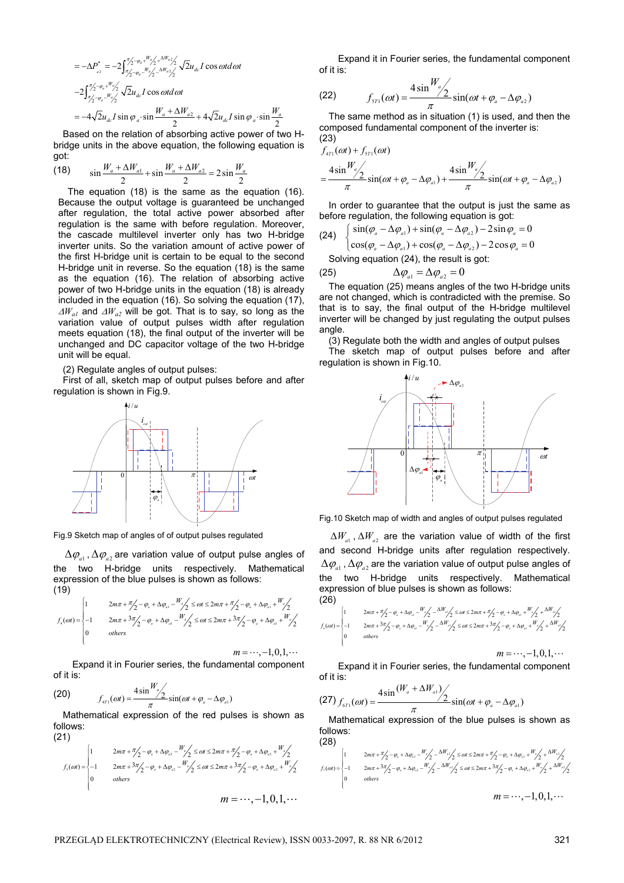$$
=-\Delta P_{a2}^{*} = -2\int_{\pi/2-\varphi_{a}}^{\pi/2-\varphi_{a}+W_{a/2}} \sqrt{2}u_{dc}I\cos\omega t d\omega t
$$
  

$$
-2\int_{\pi/2-\varphi_{a}}^{\pi/2-\varphi_{a}+W_{a/2}} \sqrt{2}u_{dc}I\cos\omega t d\omega t
$$
  

$$
= -4\sqrt{2}u_{dc}I\sin\varphi_{a}\cdot\sin\frac{W_{a}+\Delta W_{a2}}{2} + 4\sqrt{2}u_{dc}I\sin\varphi_{a}\cdot\sin\frac{W_{a}}{2}
$$

Based on the relation of absorbing active power of two Hbridge units in the above equation, the following equation is got:

(18) 
$$
\sin\frac{W_a + \Delta W_{a1}}{2} + \sin\frac{W_a + \Delta W_{a2}}{2} = 2\sin\frac{W_a}{2}
$$

The equation (18) is the same as the equation (16). Because the output voltage is guaranteed be unchanged after regulation, the total active power absorbed after regulation is the same with before regulation. Moreover, the cascade multilevel inverter only has two H-bridge inverter units. So the variation amount of active power of the first H-bridge unit is certain to be equal to the second H-bridge unit in reverse. So the equation (18) is the same as the equation (16). The relation of absorbing active power of two H-bridge units in the equation (18) is already included in the equation (16). So solving the equation (17),  $\Delta W_{a1}$  and  $\Delta W_{a2}$  will be got. That is to say, so long as the variation value of output pulses width after regulation meets equation (18), the final output of the inverter will be unchanged and DC capacitor voltage of the two H-bridge unit will be equal.

(2) Regulate angles of output pulses:

First of all, sketch map of output pulses before and after regulation is shown in Fig.9.



Fig.9 Sketch map of angles of of output pulses regulated

 $\Delta\varphi_{\alpha}$ ,  $\Delta\varphi_{\alpha}$  are variation value of output pulse angles of the two H-bridge units respectively. Mathematical expression of the blue pulses is shown as follows: (19)

$$
f_4(\omega t)=\begin{cases} 1 & 2m\pi+\pi/2-\varphi_{\scriptscriptstyle a}+\Delta\varphi_{\scriptscriptstyle a1}-\frac{W_{\scriptscriptstyle a}}{2}\leq\omega t\leq 2m\pi+\pi/2-\varphi_{\scriptscriptstyle a}+\Delta\varphi_{\scriptscriptstyle a1}+\frac{W_{\scriptscriptstyle a}}{2}\end{cases}
$$
  

$$
f_4(\omega t)=\begin{cases} 1 & 2m\pi+3\pi/2-\varphi_{\scriptscriptstyle a}+\Delta\varphi_{\scriptscriptstyle a1}-\frac{W_{\scriptscriptstyle a}}{2}\leq\omega t\leq 2m\pi+3\pi/2-\varphi_{\scriptscriptstyle a}+\Delta\varphi_{\scriptscriptstyle a1}+\frac{W_{\scriptscriptstyle a}}{2}\end{cases}
$$
   
others

 $m = \dots, -1, 0, 1, \dots$ 

Expand it in Fourier series, the fundamental component of it is:

(20) 
$$
f_{\text{at}}(\omega t) = \frac{4 \sin^{W_g}/2}{\pi} \sin(\omega t + \varphi_a - \Delta \varphi_{\text{at}})
$$

Mathematical expression of the red pulses is shown as follows: (21)

$$
f_s(\omega t) = \begin{cases} 1 & 2m\pi + \frac{\pi}{2} - \varphi_s + \Delta\varphi_{s2} - \frac{W_s}{2} \le \omega t \le 2m\pi + \frac{\pi}{2} - \varphi_s + \Delta\varphi_{s2} + \frac{W_s}{2} \\ -1 & 2m\pi + \frac{3\pi}{2} - \varphi_s + \Delta\varphi_{s2} - \frac{W_s}{2} \le \omega t \le 2m\pi + \frac{3\pi}{2} - \varphi_s + \Delta\varphi_{s2} + \frac{W_s}{2} \\ 0 & \text{others} \end{cases}
$$
  

$$
m = \cdots, -1, 0, 1, \cdots
$$

Expand it in Fourier series, the fundamental component of it is:  $W<sub>1</sub>$ 

(22) 
$$
f_{ST}( \omega t) = \frac{4 \sin^{\frac{W_a}{2}} 2 \sin(\omega t + \varphi_a - \Delta \varphi_{a2})}{\pi}
$$

The same method as in situation (1) is used, and then the composed fundamental component of the inverter is: (23)

$$
f_{4T1}(\omega t) + f_{5T1}(\omega t)
$$
  
= 
$$
\frac{4\sinh \frac{W_a}{2}}{\pi} \sin(\omega t + \varphi_a - \Delta \varphi_{a1}) + \frac{4\sinh \frac{W_a}{2}}{\pi} \sin(\omega t + \varphi_a - \Delta \varphi_{a2})
$$

In order to guarantee that the output is just the same as before regulation, the following equation is got:

(24) 
$$
\begin{cases} \sin(\varphi_a - \Delta \varphi_{a1}) + \sin(\varphi_a - \Delta \varphi_{a2}) - 2\sin \varphi_a = 0 \\ \cos(\varphi_a - \Delta \varphi_{a1}) + \cos(\varphi_a - \Delta \varphi_{a2}) - 2\cos \varphi_a = 0 \end{cases}
$$

Solving equation (24), the result is got:

$$
\Delta \varphi_{a1} = \Delta \varphi_{a2} = 0
$$

The equation (25) means angles of the two H-bridge units are not changed, which is contradicted with the premise. So that is to say, the final output of the H-bridge multilevel inverter will be changed by just regulating the output pulses angle.

(3) Regulate both the width and angles of output pulses

The sketch map of output pulses before and after regulation is shown in Fig.10.



Fig.10 Sketch map of width and angles of output pulses regulated

 $\Delta W_{ab}$ ,  $\Delta W_{ab}$  are the variation value of width of the first and second H-bridge units after regulation respectively.  $\Delta\varphi_{\alpha}$ ,  $\Delta\varphi_{\alpha}$  are the variation value of output pulse angles of the two H-bridge units respectively. Mathematical expression of blue pulses is shown as follows: (26)

$$
f_{*}(\omega t)=\begin{vmatrix} 1 & 2m\pi+\pi/2-\varphi_{*}+\Delta\varphi_{*} -\frac{W_{*}}{2} -\Delta W_{*}\sqrt{2} & \omega t\leq 2m\pi+\pi/2-\varphi_{*}+\Delta\varphi_{*} +\frac{W_{*}}{2} +\Delta W_{*}\sqrt{2} \\ -1 & 2m\pi+\sqrt[3]{2}-\varphi_{*}+\Delta\varphi_{*} -\frac{W_{*}}{2} -\Delta W_{*}\sqrt{2} & \omega t\leq 2m\pi+\sqrt[3]{2}-\varphi_{*}+\Delta\varphi_{*} +\frac{W_{*}}{2} +\Delta W_{*}\sqrt{2} \\ 0 & \omega t \text{hers} & \omega t\leq 2m\pi+\sqrt[3]{2}-\varphi_{*}+\Delta\varphi_{*} +\frac{W_{*}}{2} +\Delta W_{*}\sqrt{2} \end{vmatrix}
$$

$$
m=\cdots,-1,0,1,\cdots
$$

Expand it in Fourier series, the fundamental component of it is:

$$
(27) f_{6T1}(\omega t) = \frac{4 \sin \left( W_a + \Delta W_{a1} \right)}{\pi} \frac{2}{\sin(\omega t + \varphi_a - \Delta \varphi_{a1})}
$$

Mathematical expression of the blue pulses is shown as follows: (28)

$$
f_{\gamma}(\omega t) = \begin{cases} 1 & 2m\pi + \frac{\pi}{2} - \varphi_{\alpha} + \Delta\varphi_{\alpha 2} - \frac{W_{\gamma}}{2} - \frac{\Delta W_{\alpha 2}}{2} \le \omega t \le 2m\pi + \frac{\pi}{2} - \varphi_{\alpha} + \Delta\varphi_{\alpha 2} + \frac{W_{\gamma}}{2} + \frac{\Delta W_{\alpha 2}}{2} \\ & 1 & 2m\pi + \frac{3\pi}{2} - \varphi_{\alpha} + \Delta\varphi_{\alpha 2} - \frac{W_{\gamma}}{2} - \frac{\Delta W_{\alpha 2}}{2} \le \omega t \le 2m\pi + \frac{3\pi}{2} - \varphi_{\alpha} + \Delta\varphi_{\alpha 2} + \frac{W_{\gamma}}{2} + \frac{\Delta W_{\alpha 2}}{2} \\ 0 & \text{others} \end{cases}
$$
  

$$
m = \cdots, -1, 0, 1, \cdots
$$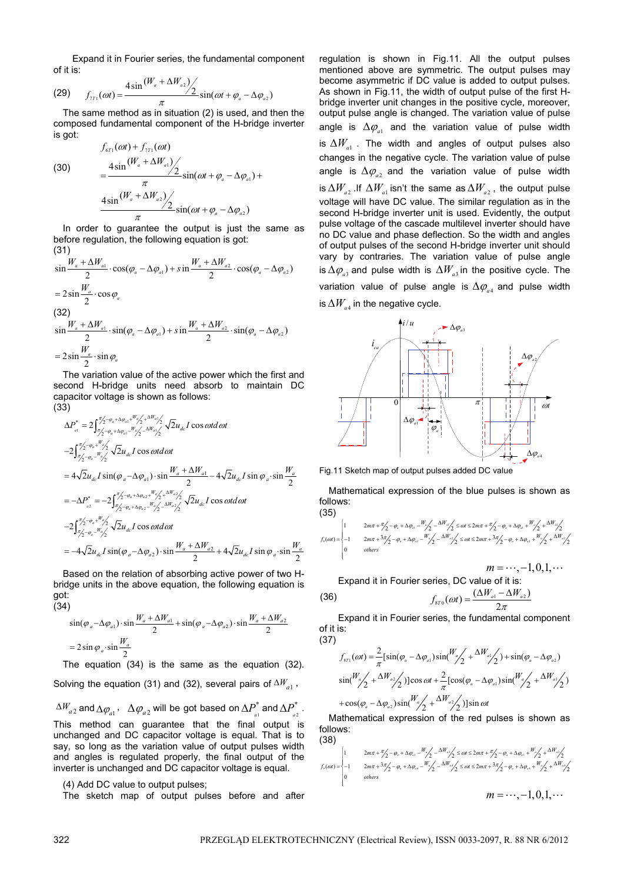Expand it in Fourier series, the fundamental component of it is:

(29) 
$$
f_{\tau r_1}(\omega t) = \frac{4\sin^{(W_a + \Delta W_{a2})}/2}{\pi} \sin(\omega t + \varphi_a - \Delta \varphi_{a2})
$$

The same method as in situation (2) is used, and then the composed fundamental component of the H-bridge inverter is got:

(30)  
\n
$$
\begin{aligned}\nf_{6T1}(\omega t) + f_{7T1}(\omega t) \\
&= \frac{4 \sin \left(W_a + \Delta W_{a1}\right)}{\pi} \sin(\omega t + \varphi_a - \Delta \varphi_{a1}) + \frac{4 \sin \left(W_a + \Delta W_{a2}\right)}{\pi} \sin(\omega t + \varphi_a - \Delta \varphi_{a2})\n\end{aligned}
$$

In order to guarantee the output is just the same as before regulation, the following equation is got: (31)

$$
\sin\frac{W_a + \Delta W_{a1}}{2} \cdot \cos(\varphi_a - \Delta \varphi_{a1}) + \sin\frac{W_a + \Delta W_{a2}}{2} \cdot \cos(\varphi_a - \Delta \varphi_{a2})
$$
\n
$$
= 2\sin\frac{W_a}{2} \cdot \cos\varphi_a
$$
\n(32)\n
$$
\sin\frac{W_a + \Delta W_{a1}}{2} \cdot \sin(\varphi_a - \Delta \varphi_{a1}) + \sin\frac{W_a + \Delta W_{a2}}{2} \cdot \sin(\varphi_a - \Delta \varphi_{a2})
$$
\n
$$
= 2\sin\frac{W_a}{2} \cdot \sin\varphi_a
$$

The variation value of the active power which the first and second H-bridge units need absorb to maintain DC capacitor voltage is shown as follows: (33)

$$
\Delta P_{a1}^{*} = 2 \int_{\pi/2 - \varphi_{a} + \Delta \varphi_{a1}}^{\pi/2 - \varphi_{a} + \Delta \varphi_{a1} + \frac{W_{a}}{2}} \sqrt{2} u_{dc} I \cos \omega t d\omega t
$$
  
\n
$$
-2 \int_{\pi/2 - \varphi_{a} - \frac{W_{a}}{2}}^{\pi/2 - \varphi_{a} + \frac{W_{a}}{2}} \sqrt{2} u_{dc} I \cos \omega t d\omega t
$$
  
\n
$$
-2 \int_{\pi/2 - \varphi_{a} - \frac{W_{a}}{2}}^{\pi/2 - \varphi_{a} + \frac{W_{a}}{2}} \sqrt{2} u_{dc} I \cos \omega t d\omega t
$$
  
\n
$$
= 4 \sqrt{2} u_{dc} I \sin(\varphi_{a} - \Delta \varphi_{a1}) \cdot \sin \frac{W_{a} + \Delta W_{a1}}{2} - 4 \sqrt{2} u_{dc} I \sin \varphi_{a} \cdot \sin \frac{W_{a}}{2}
$$
  
\n
$$
= -\Delta P_{a2}^{*} = -2 \int_{\pi/2 - \varphi_{a} + \Delta \varphi_{a2} - \frac{W_{a}}{2}}^{\pi/2 - \varphi_{a} + \Delta \varphi_{a2} + \frac{W_{a}}{2}} \sqrt{2} u_{dc} I \cos \omega t d\omega t
$$
  
\n
$$
-2 \int_{\pi/2 - \varphi_{a} - \frac{W_{a}}{2}}^{\pi/2 - \varphi_{a} + \frac{W_{a}}{2}} \sqrt{2} u_{dc} I \cos \omega t d\omega t
$$
  
\n
$$
= -4 \sqrt{2} u_{dc} I \sin(\varphi_{a} - \Delta \varphi_{a2}) \cdot \sin \frac{W_{a} + \Delta W_{a2}}{2} + 4 \sqrt{2} u_{dc} I \sin \varphi_{a} \cdot \sin \frac{W_{a}}{2}
$$

Based on the relation of absorbing active power of two Hbridge units in the above equation, the following equation is got: (34)

$$
\sin(\varphi_a - \Delta \varphi_{a1}) \cdot \sin \frac{W_a + \Delta W_{a1}}{2} + \sin(\varphi_a - \Delta \varphi_{a2}) \cdot \sin \frac{W_a + \Delta W_{a2}}{2}
$$
  
=  $2 \sin \varphi_a \cdot \sin \frac{W_a}{2}$ 

The equation (34) is the same as the equation (32). Solving the equation (31) and (32), several pairs of  $\Delta W_{a1}$ ,

 $\Delta W_{a2}$  and  $\Delta \varphi_{a1}^{}$ ,  $\Delta \varphi_{a2}^{}$  will be got based on  $\Delta P_{a1}^*$  and  $\Delta P_{a2}^*$  . This method can guarantee that the final output is unchanged and DC capacitor voltage is equal. That is to say, so long as the variation value of output pulses width and angles is regulated properly, the final output of the inverter is unchanged and DC capacitor voltage is equal.

(4) Add DC value to output pulses;

The sketch map of output pulses before and after

regulation is shown in Fig.11. All the output pulses mentioned above are symmetric. The output pulses may become asymmetric if DC value is added to output pulses. As shown in Fig.11, the width of output pulse of the first Hbridge inverter unit changes in the positive cycle, moreover, output pulse angle is changed. The variation value of pulse angle is  $\Delta \varphi_{\scriptscriptstyle{a1}}$  and the variation value of pulse width is  $\Delta W_{ab}$ . The width and angles of output pulses also changes in the negative cycle. The variation value of pulse angle is  $\Delta \varphi_{\rho}$  and the variation value of pulse width is  $\Delta W_{a2}$ . If  $\Delta W_{a1}$  isn't the same as  $\Delta W_{a2}$ , the output pulse voltage will have DC value. The similar regulation as in the second H-bridge inverter unit is used. Evidently, the output pulse voltage of the cascade multilevel inverter should have no DC value and phase deflection. So the width and angles of output pulses of the second H-bridge inverter unit should vary by contraries. The variation value of pulse angle is  $\Delta\varphi_{\alpha}$  and pulse width is  $\Delta W_{\alpha}$  in the positive cycle. The variation value of pulse angle is  $\Delta \varphi_{ad}$  and pulse width is  $\Delta W_{ab}$  in the negative cycle.



Fig.11 Sketch map of output pulses added DC value

Mathematical expression of the blue pulses is shown as follows: (35)

$$
f_s(\omega t) = \begin{cases} 1 & 2m\pi + \frac{\pi}{2} - \varphi_s + \Delta\varphi_a - \frac{W_s}{2} - \frac{\Delta W_s}{2} \le \omega t \le 2m\pi + \frac{\pi}{2} - \varphi_s + \Delta\varphi_a + \frac{W_{s2}}{2} + \frac{\Delta W_s}{2} \\ -1 & 2m\pi + \frac{3\pi}{2} - \varphi_s + \Delta\varphi_{s2} - \frac{W_{s2}}{2} - \frac{\Delta W_{s2}}{2} \le \omega t \le 2m\pi + \frac{3\pi}{2} - \varphi_s + \Delta\varphi_{s2} + \frac{W_{s2}}{2} + \frac{\Delta W_{s2}}{2} \\ 0 & \text{others} \end{cases}
$$
  

$$
m = \cdots, -1, 0, 1, \cdots
$$

Expand it in Fourier series, DC value of it is:  $\Lambda$ *W*  $-\Lambda W$ 

(36) 
$$
f_{\rm s70}(\omega t) = \frac{(\Delta W_{a1} - \Delta W_{a2})}{2\pi}
$$

Expand it in Fourier series, the fundamental component of it is: (37)

$$
f_{s_{1}}(\omega t) = \frac{2}{\pi} [\sin(\varphi_{a} - \Delta \varphi_{a_{1}}) \sin(\frac{W_{a}}{2} + \frac{\Delta W_{a_{1}}}{2}) + \sin(\varphi_{a} - \Delta \varphi_{a_{2}})]
$$
  
\n
$$
\sin(\frac{W_{a}}{2} + \frac{\Delta W_{a_{2}}}{2})] \cos \omega t + \frac{2}{\pi} [\cos(\varphi_{a} - \Delta \varphi_{a_{1}}) \sin(\frac{W_{a}}{2} + \frac{\Delta W_{a_{1}}}{2})
$$
  
\n
$$
+ \cos(\varphi_{a} - \Delta \varphi_{a_{2}}) \sin(\frac{W_{a}}{2} + \frac{\Delta W_{a_{2}}}{2})] \sin \omega t
$$

Mathematical expression of the red pulses is shown as follows: (38)

$$
f_{\circ}(\omega t) = \begin{cases} 1 & 2m\pi + \frac{\pi}{2} - \varphi_{\circ} + \Delta\varphi_{\circ} - \frac{W_{\circ}}{2} - \frac{\Delta W_{\circ}}{2} \leq \omega t \leq 2m\pi + \frac{\pi}{2} - \varphi_{\circ} + \Delta\varphi_{\circ} + \frac{W_{\circ}}{2} + \frac{\Delta W_{\circ}}{2} \\ & -1 & 2m\pi + \frac{3\pi}{2} - \varphi_{\circ} + \Delta\varphi_{\circ} - \frac{W_{\circ}}{2} - \frac{\Delta W_{\circ}}{2} \leq \omega t \leq 2m\pi + \frac{3\pi}{2} - \varphi_{\circ} + \Delta\varphi_{\circ} + \frac{W_{\circ}}{2} + \frac{\Delta W_{\circ}}{2} \\ & 0 & \text{others} \end{cases}
$$
  

$$
m = \cdots, -1, 0, 1, \cdots
$$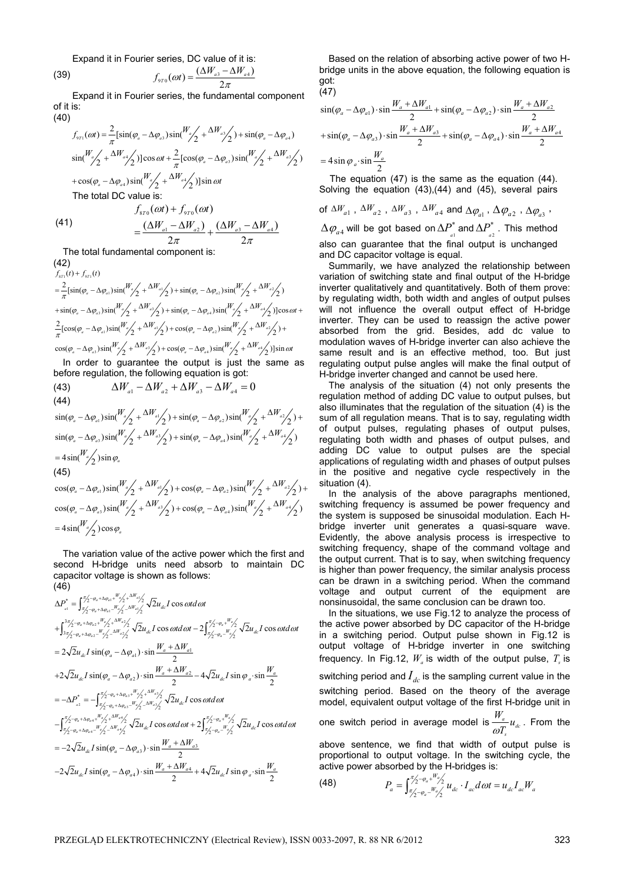Expand it in Fourier series, DC value of it is:

(39) 
$$
f_{\text{970}}(\omega t) = \frac{(\Delta W_{a3} - \Delta W_{a4})}{2\pi}
$$

Expand it in Fourier series, the fundamental component of it is: (40)

$$
f_{\text{ST1}}(\omega t) = \frac{2}{\pi} \left[ \sin(\varphi_a - \Delta \varphi_{a3}) \sin(\frac{W_a}{2} + \frac{\Delta W_{a3}}{2}) + \sin(\varphi_a - \Delta \varphi_{a4}) \right]
$$
  
\n
$$
\sin(\frac{W_a}{2} + \frac{\Delta W_{a4}}{2}) \left[ \cos \omega t + \frac{2}{\pi} \left[ \cos(\varphi_a - \Delta \varphi_{a3}) \sin(\frac{W_a}{2} + \frac{\Delta W_{a3}}{2}) + \cos(\varphi_a - \Delta \varphi_{a4}) \sin(\frac{W_a}{2} + \frac{\Delta W_{a4}}{2}) \right] \right]
$$
  
\n+  $\cos(\varphi_a - \Delta \varphi_{a4}) \sin(\frac{W_a}{2} + \frac{\Delta W_{a4}}{2}) \left] \sin \omega t$   
\nThe total DC value is:

(41) 
$$
\begin{aligned} f_{\text{ST0}}(\omega t) + f_{\text{ST0}}(\omega t) \\ &= \frac{(\Delta W_{a1} - \Delta W_{a2})}{2\pi} + \frac{(\Delta W_{a3} - \Delta W_{a4})}{2\pi} \end{aligned}
$$

The total fundamental component is:

(42)  $f_{\rm s71}(t) + f_{\rm s71}(t)$  $=\frac{2}{\pi}[\sin(\varphi_{a}-\Delta\varphi_{a})\sin(\frac{W_{a}}{2}+\frac{\Delta W_{a}}{2})+\sin(\varphi_{a}-\Delta\varphi_{a})\sin(\frac{W_{a}}{2}+\frac{\Delta W_{a}}{2})]$  $+\sin(\varphi_a - \Delta \varphi_a) \sin(\frac{W_a}{2} \left( \frac{1}{2} + \frac{\Delta W_{a3}}{2} \right) + \sin(\varphi_a - \Delta \varphi_{a4}) \sin(\frac{W_a}{2} \left( \frac{1}{2} + \frac{\Delta W_{a4}}{2} \right)) \cos \omega t +$  $\frac{2}{\pi} [\cos(\varphi_a - \Delta \varphi_a) \sin(\frac{W_a}{2} + \Delta W_a) + \cos(\varphi_a - \Delta \varphi_a) \sin(\frac{W_a}{2} + \Delta W_a)$  $\cos(\varphi_a - \Delta \varphi_{a_3}) \sin(\frac{W_a}{2} \left( \frac{\Delta W_{a_3}}{2} \right) + \cos(\varphi_a - \Delta \varphi_{a_4}) \sin(\frac{W_a}{2} \left( \frac{\Delta W_{a_4}}{2} \right) )] \sin \omega t$ 

In order to guarantee the output is just the same as before regulation, the following equation is got:

(43) 
$$
\Delta W_{a1} - \Delta W_{a2} + \Delta W_{a3} - \Delta W_{a4} = 0
$$
 (44)

$$
\sin(\varphi_{a} - \Delta \varphi_{a1}) \sin(\frac{W_{a}}{2} + \frac{\Delta W_{a1}}{2}) + \sin(\varphi_{a} - \Delta \varphi_{a2}) \sin(\frac{W_{a}}{2} + \frac{\Delta W_{a2}}{2}) +
$$
\n
$$
\sin(\varphi_{a} - \Delta \varphi_{a3}) \sin(\frac{W_{a}}{2} + \frac{\Delta W_{a3}}{2}) + \sin(\varphi_{a} - \Delta \varphi_{a4}) \sin(\frac{W_{a}}{2} + \frac{\Delta W_{a4}}{2})
$$
\n
$$
= 4 \sin(\frac{W_{a}}{2}) \sin \varphi_{a}
$$
\n(45)\n
$$
\cos(\varphi_{a} - \Delta \varphi_{a1}) \sin(\frac{W_{a}}{2} + \frac{\Delta W_{a1}}{2}) + \cos(\varphi_{a} - \Delta \varphi_{a2}) \sin(\frac{W_{a}}{2} + \frac{\Delta W_{a2}}{2}) +
$$
\n
$$
\cos(\varphi_{a} - \Delta \varphi_{a3}) \sin(\frac{W_{a}}{2} + \frac{\Delta W_{a3}}{2}) + \cos(\varphi_{a} - \Delta \varphi_{a4}) \sin(\frac{W_{a}}{2} + \frac{\Delta W_{a4}}{2})
$$
\n
$$
= 4 \sin(\frac{W_{a}}{2}) \cos \varphi_{a}
$$

The variation value of the active power which the first and second H-bridge units need absorb to maintain DC capacitor voltage is shown as follows:  $(46)$ 

$$
\Delta P_{a1}^{*} = \int_{\pi/2 - \varphi_{a} + \Delta \varphi_{a1} + \frac{W_{\varphi/2} + \Delta W_{a1}/2}{2}}^{\pi/2 - \varphi_{a} + \Delta \varphi_{a1} + \frac{W_{\varphi/2} + \Delta W_{a1}/2}{2}} \sqrt{2} u_{ac} I \cos \omega t \, d\omega t \n+ \int_{3\pi/2 - \varphi_{a} + \Delta \varphi_{a2} + \frac{W_{a}/2}{2}}^{\pi/2 - \varphi_{a} + \Delta \varphi_{a2} + \frac{W_{a}/2}{2}} \sqrt{2} u_{ac} I \cos \omega t \, d\omega t - 2 \int_{\pi/2 - \varphi_{a} + \frac{W_{\varphi/2}}{2}}^{\pi/2 - \varphi_{a} + \frac{W_{\varphi/2}}{2}} \sqrt{2} u_{ac} I \cos \omega t \, d\omega t \n= 2\sqrt{2} u_{ac} I \sin(\varphi_{a} - \Delta \varphi_{a1}) \cdot \sin \frac{W_{a} + \Delta W_{a1}}{2} \n+ 2\sqrt{2} u_{ac} I \sin(\varphi_{a} - \Delta \varphi_{a2}) \cdot \sin \frac{W_{a} + \Delta W_{a2}}{2} - 4\sqrt{2} u_{ac} I \sin \varphi_{a} \cdot \sin \frac{W_{a}}{2} \n= -\Delta P_{a2}^{*} = -\int_{\pi/2 - \varphi_{a} + \Delta \varphi_{a3} + \frac{W_{a}/2}{2}}^{\pi/2 - \varphi_{a} + \Delta \varphi_{a3} + \frac{W_{a}/2}{2}} \sqrt{2} u_{ac} I \cos \omega t \, d\omega t \n- \int_{\pi/2 - \varphi_{a} + \Delta \varphi_{a4} + \frac{W_{a}/2}{2}}^{\pi/2 - \varphi_{a} + \Delta \varphi_{a3} + \frac{W_{a}/2}{2}} \sqrt{2} u_{ac} I \cos \omega t \, d\omega t + 2 \int_{\pi/2 - \varphi_{a} + \frac{W_{a}/2}{2}}^{\pi/2 - \varphi_{a} + \frac{W_{a}/2}{2}} \sqrt{2} u_{ac} I \cos \omega t \, d\omega t \n= -2\sqrt{2} u_{ac} I \sin(\varphi_{a} - \Delta \
$$

Based on the relation of absorbing active power of two Hbridge units in the above equation, the following equation is got:  $(47)$ 

$$
\sin(\varphi_a - \Delta \varphi_{a1}) \cdot \sin \frac{W_a + \Delta W_{a1}}{2} + \sin(\varphi_a - \Delta \varphi_{a2}) \cdot \sin \frac{W_a + \Delta W_{a2}}{2}
$$
  
+ 
$$
\sin(\varphi_a - \Delta \varphi_{a3}) \cdot \sin \frac{W_a + \Delta W_{a3}}{2} + \sin(\varphi_a - \Delta \varphi_{a4}) \cdot \sin \frac{W_a + \Delta W_{a4}}{2}
$$
  
= 
$$
4 \sin \varphi_a \cdot \sin \frac{W_a}{2}
$$

 The equation (47) is the same as the equation (44). Solving the equation (43),(44) and (45), several pairs

of 
$$
\Delta W_{a1}
$$
,  $\Delta W_{a2}$ ,  $\Delta W_{a3}$ ,  $\Delta W_{a4}$  and  $\Delta \varphi_{a1}$ ,  $\Delta \varphi_{a2}$ ,  $\Delta \varphi_{a3}$ ,  
 $\Delta \varphi_{a4}$  will be got based on  $\Delta P_{a1}^*$  and  $\Delta P_{a2}^*$ . This method  
also can guarantee that the final output is unchanged  
and DC capacitor voltage is equal.

Summarily, we have analyzed the relationship between variation of switching state and final output of the H-bridge inverter qualitatively and quantitatively. Both of them prove: by regulating width, both width and angles of output pulses will not influence the overall output effect of H-bridge inverter. They can be used to reassign the active power absorbed from the grid. Besides, add dc value to modulation waves of H-bridge inverter can also achieve the same result and is an effective method, too. But just regulating output pulse angles will make the final output of H-bridge inverter changed and cannot be used here.

The analysis of the situation (4) not only presents the regulation method of adding DC value to output pulses, but also illuminates that the regulation of the situation (4) is the sum of all regulation means. That is to say, regulating width of output pulses, regulating phases of output pulses, regulating both width and phases of output pulses, and adding DC value to output pulses are the special applications of regulating width and phases of output pulses in the positive and negative cycle respectively in the situation (4).

In the analysis of the above paragraphs mentioned, switching frequency is assumed be power frequency and the system is supposed be sinusoidal modulation. Each Hbridge inverter unit generates a quasi-square wave. Evidently, the above analysis process is irrespective to switching frequency, shape of the command voltage and the output current. That is to say, when switching frequency is higher than power frequency, the similar analysis process can be drawn in a switching period. When the command voltage and output current of the equipment are nonsinusoidal, the same conclusion can be drawn too.

In the situations, we use Fig.12 to analyze the process of the active power absorbed by DC capacitor of the H-bridge in a switching period. Output pulse shown in Fig.12 is output voltage of H-bridge inverter in one switching frequency. In Fig.12,  $W_a$  is width of the output pulse,  $T_a$  is

switching period and  $I_{dc}$  is the sampling current value in the switching period. Based on the theory of the average model, equivalent output voltage of the first H-bridge unit in *W*

one switch period in average model is 
$$
\frac{m_a}{\omega T_s} u_{dc}
$$
. From the

above sentence, we find that width of output pulse is proportional to output voltage. In the switching cycle, the active power absorbed by the H-bridges is:

(48) 
$$
P_a = \int_{\pi/2 - \varphi_a - \frac{W_a}{2}}^{\pi/2 - \varphi_a + \frac{W_a}{2}} u_{dc} \cdot I_{ac} d\omega t = u_{dc} I_{ac} W_a
$$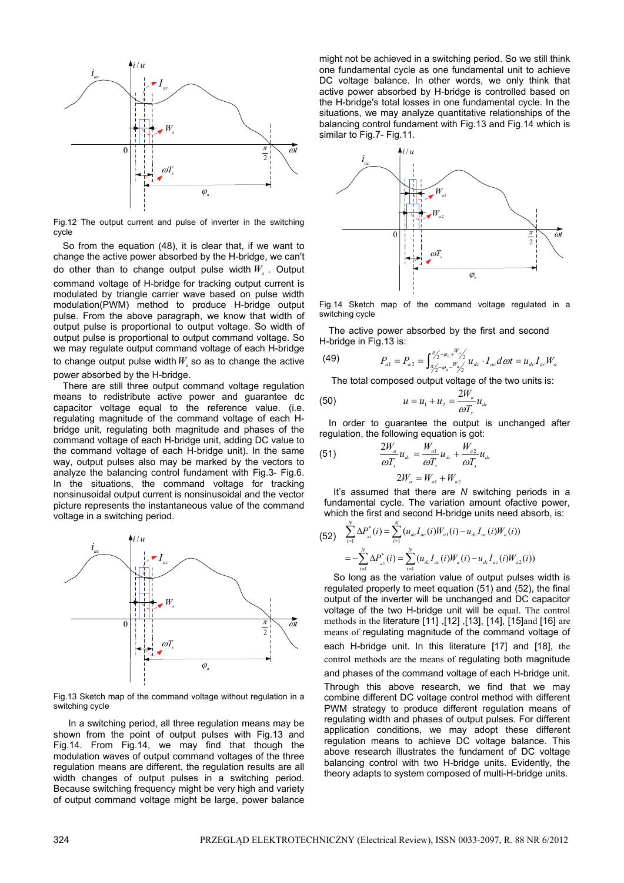

Fig.12 The output current and pulse of inverter in the switching cycle

So from the equation (48), it is clear that, if we want to change the active power absorbed by the H-bridge, we can't do other than to change output pulse width  $W_a$ . Output command voltage of H-bridge for tracking output current is modulated by triangle carrier wave based on pulse width modulation(PWM) method to produce H-bridge output pulse. From the above paragraph, we know that width of output pulse is proportional to output voltage. So width of output pulse is proportional to output command voltage. So we may regulate output command voltage of each H-bridge to change output pulse width  $W<sub>a</sub>$  so as to change the active power absorbed by the H-bridge.

There are still three output command voltage regulation means to redistribute active power and guarantee dc capacitor voltage equal to the reference value. (i.e. regulating magnitude of the command voltage of each Hbridge unit, regulating both magnitude and phases of the command voltage of each H-bridge unit, adding DC value to the command voltage of each H-bridge unit). In the same way, output pulses also may be marked by the vectors to analyze the balancing control fundament with Fig.3- Fig.6. In the situations, the command voltage for tracking nonsinusoidal output current is nonsinusoidal and the vector picture represents the instantaneous value of the command voltage in a switching period.



Fig.13 Sketch map of the command voltage without regulation in a switching cycle

In a switching period, all three regulation means may be shown from the point of output pulses with Fig.13 and Fig.14. From Fig.14, we may find that though the modulation waves of output command voltages of the three regulation means are different, the regulation results are all width changes of output pulses in a switching period. Because switching frequency might be very high and variety of output command voltage might be large, power balance

might not be achieved in a switching period. So we still think one fundamental cycle as one fundamental unit to achieve DC voltage balance. In other words, we only think that active power absorbed by H-bridge is controlled based on the H-bridge's total losses in one fundamental cycle. In the situations, we may analyze quantitative relationships of the balancing control fundament with Fig.13 and Fig.14 which is similar to Fig.7- Fig.11.



Fig.14 Sketch map of the command voltage regulated in a switching cycle

The active power absorbed by the first and second H-bridge in Fig.13 is:

(49) 
$$
P_{a1} = P_{a2} = \int_{\pi/2 - \varphi_a}^{\pi/2 - \varphi_a + W_2/2} u_{dc} \cdot I_{ac} d\omega t = u_{dc} I_{ac} W_a
$$

The total composed output voltage of the two units is:

(50) 
$$
u = u_1 + u_2 = \frac{2W_a}{\omega T_s} u_{dc}
$$

In order to guarantee the output is unchanged after regulation, the following equation is got:

(51) 
$$
\frac{2W_a}{\omega T_s} u_{dc} = \frac{W_{a1}}{\omega T_s} u_{dc} + \frac{W_{a2}}{\omega T_s} u_{dc}
$$

$$
2W_a = W_{a1} + W_{a2}
$$

It's assumed that there are *N* switching periods in a fundamental cycle. The variation amount ofactive power, which the first and second H-bridge units need absorb, is:

(52) 
$$
\sum_{i=1}^{N} \Delta P_{a}^{*}(i) = \sum_{i=1}^{N} (u_{dc} I_{ac}(i) W_{a1}(i) - u_{dc} I_{ac}(i) W_{a}(i))
$$

$$
= -\sum_{i=1}^{N} \Delta P_{a2}^{*}(i) = \sum_{i=1}^{N} (u_{dc} I_{ac}(i) W_{a}(i) - u_{dc} I_{ac}(i) W_{a2}(i))
$$

So long as the variation value of output pulses width is regulated properly to meet equation (51) and (52), the final output of the inverter will be unchanged and DC capacitor voltage of the two H-bridge unit will be equal. The control methods in the literature [11] ,[12] ,[13], [14], [15]and [16] are means of regulating magnitude of the command voltage of each H-bridge unit. In this literature [17] and [18], the control methods are the means of regulating both magnitude and phases of the command voltage of each H-bridge unit. Through this above research, we find that we may combine different DC voltage control method with different PWM strategy to produce different regulation means of regulating width and phases of output pulses. For different application conditions, we may adopt these different regulation means to achieve DC voltage balance. This above research illustrates the fundament of DC voltage balancing control with two H-bridge units. Evidently, the theory adapts to system composed of multi-H-bridge units.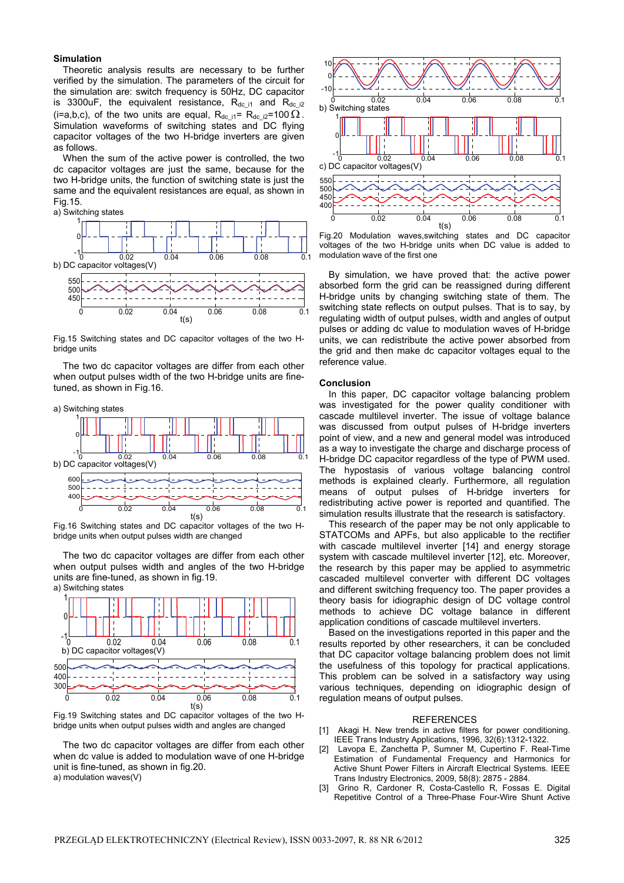#### **Simulation**

Theoretic analysis results are necessary to be further verified by the simulation. The parameters of the circuit for the simulation are: switch frequency is 50Hz, DC capacitor is 3300uF, the equivalent resistance,  $R_{dc}$  in and  $R_{dc}$  iz (i=a,b,c), of the two units are equal,  $R_{dc\_i1} = R_{dc\_i2} = 100 \Omega$ . Simulation waveforms of switching states and DC flying capacitor voltages of the two H-bridge inverters are given as follows.

When the sum of the active power is controlled, the two dc capacitor voltages are just the same, because for the two H-bridge units, the function of switching state is just the same and the equivalent resistances are equal, as shown in Fig.15.



Fig.15 Switching states and DC capacitor voltages of the two Hbridge units

The two dc capacitor voltages are differ from each other when output pulses width of the two H-bridge units are finetuned, as shown in Fig.16.





Fig.16 Switching states and DC capacitor voltages of the two Hbridge units when output pulses width are changed

The two dc capacitor voltages are differ from each other when output pulses width and angles of the two H-bridge units are fine-tuned, as shown in fig.19. a) Switching states



Fig.19 Switching states and DC capacitor voltages of the two Hbridge units when output pulses width and angles are changed

The two dc capacitor voltages are differ from each other when dc value is added to modulation wave of one H-bridge unit is fine-tuned, as shown in fig.20. a) modulation waves(V)



Fig.20 Modulation waves,switching states and DC capacitor voltages of the two H-bridge units when DC value is added to modulation wave of the first one

By simulation, we have proved that: the active power absorbed form the grid can be reassigned during different H-bridge units by changing switching state of them. The switching state reflects on output pulses. That is to say, by regulating width of output pulses, width and angles of output pulses or adding dc value to modulation waves of H-bridge units, we can redistribute the active power absorbed from the grid and then make dc capacitor voltages equal to the reference value.

#### **Conclusion**

In this paper, DC capacitor voltage balancing problem was investigated for the power quality conditioner with cascade multilevel inverter. The issue of voltage balance was discussed from output pulses of H-bridge inverters point of view, and a new and general model was introduced as a way to investigate the charge and discharge process of H-bridge DC capacitor regardless of the type of PWM used. The hypostasis of various voltage balancing control methods is explained clearly. Furthermore, all regulation means of output pulses of H-bridge inverters for redistributing active power is reported and quantified. The simulation results illustrate that the research is satisfactory.

This research of the paper may be not only applicable to STATCOMs and APFs, but also applicable to the rectifier with cascade multilevel inverter [14] and energy storage system with cascade multilevel inverter [12], etc. Moreover, the research by this paper may be applied to asymmetric cascaded multilevel converter with different DC voltages and different switching frequency too. The paper provides a theory basis for idiographic design of DC voltage control methods to achieve DC voltage balance in different application conditions of cascade multilevel inverters.

Based on the investigations reported in this paper and the results reported by other researchers, it can be concluded that DC capacitor voltage balancing problem does not limit the usefulness of this topology for practical applications. This problem can be solved in a satisfactory way using various techniques, depending on idiographic design of regulation means of output pulses.

#### REFERENCES

- [1] Akagi H. New trends in active filters for power conditioning. IEEE Trans Industry Applications, 1996, 32(6):1312-1322.
- Lavopa E, Zanchetta P, Sumner M, Cupertino F. Real-Time Estimation of Fundamental Frequency and Harmonics for Active Shunt Power Filters in Aircraft Electrical Systems. IEEE Trans Industry Electronics, 2009, 58(8): 2875 - 2884.
- [3] Grino R, Cardoner R, Costa-Castello R, Fossas E. Digital Repetitive Control of a Three-Phase Four-Wire Shunt Active